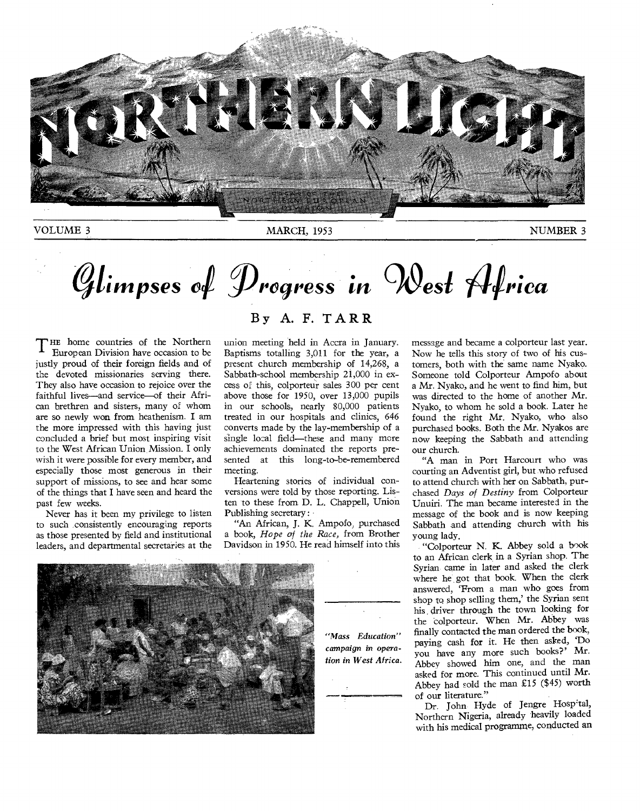

VOLUME 3 NUMBER 3

# Glimpses of Progress in West Africa

THE home countries of the Northern<br>European Division have occasion to be ± European Division have occasion to be justly proud of their foreign fields and of the devoted missionaries serving there. They also have occasion to rejoice over the faithful lives—and service—of their African brethren and sisters, many of whom are so newly won from heathenism. I am the more impressed with this having just concluded a brief but most inspiring visit to the West African Union Mission. I only wish it were possible for every member, and especially those most generous in their support of missions, to see and hear some of the things that I have seen and heard the past few weeks.

Never has it been my privilege to listen to such consistently encouraging reports as those presented by field and institutional leaders, and departmental secretaries at the

#### By A. F. TARR

union meeting held in Accra in January. Baptisms totalling 3,011 for the year, a present church membership of 14,268, a Sabbath-school membership 21,000 in excess of this, colporteur sales 300 per cent above those for 1950, over 13,000 pupils in our schools, nearly 80,000 patients treated in our hospitals and clinics, 646 converts made by the lay-membership of a single local field—these and many more achievements dominated the reports presented at this long-to-be-remembered meeting.

Heartening stories of individual conversions were told by those reporting. Listen to these from D. L. Chappell, Union Publishing secretary:

"An African, J. K. Ampofo, purchased a book, *Hope of the Race,* from Brother Davidson in 1950. He read himself into this



*"Mass Education" campaign in operation in West Africa.* 

message and became a colporteur last year. Now he tells this story of two of his customers, both with the same name Nyako. Someone told Colporteur Ampofo about a Mr. Nyako, and he went to find him, but was directed to the home of another Mr. Nyako, to whom he sold a book. Later he found the right Mr. Nyako, who also purchased books. Both the Mr. Nyakos are now keeping the Sabbath and attending our church.

"A man in Port Harcourt who was courting an Adventist girl, but who refused to attend church with her on Sabbath, purchased *Days of Destiny* from Colporteur Unuiri. The man became interested in the message of the book and is now keeping Sabbath and attending church with his young lady.

"Colporteur N. K. Abbey sold a book to an African clerk in a Syrian shop. The Syrian came in later and asked the clerk where he got that book. When the clerk answered, 'From a man who goes from shop to shop selling them,' the Syrian sent his . driver through the town looking for the colporteur. When Mr. Abbey was finally contacted the man ordered the book, paying cash for it. He then asked, 'Do you have any more such books?' Mr. Abbey showed him one, and the man asked for more. This continued until Mr. Abbey had sold the man £15 (\$45) worth of our literature."

Dr. John Hyde of Jengre Hospital, Northern Nigeria, already heavily loaded with his medical programme, conducted an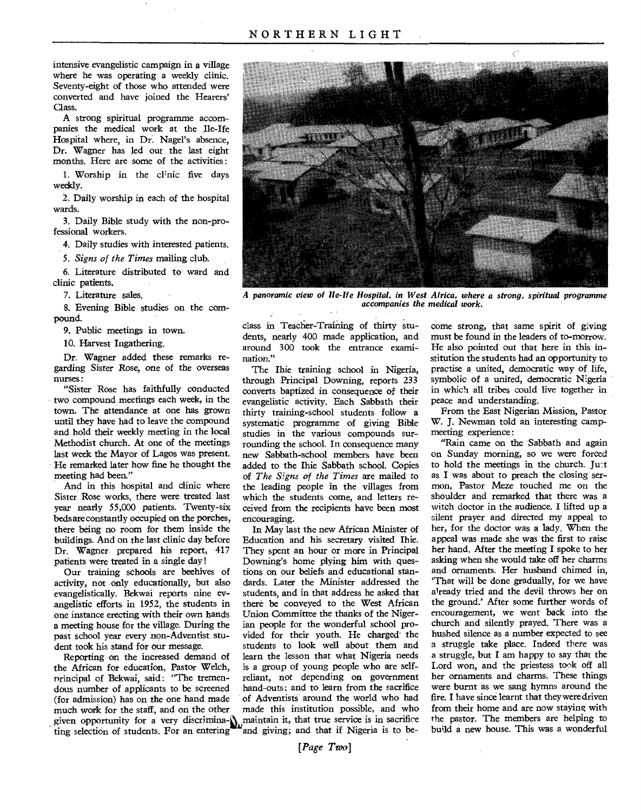intensive evangelistic campaign in a village where he was operating a weekly clinic. Seventy-eight of those who attended were converted and have joined the Hearers' Class.

A strong spiritual programme accompanies the medical work at the Ile-Ife Hospital where, in Dr. Nagel's absence, Dr. Wagner has led out the last eight months. Here are some of the activities :

1. Worship in the clinic five days weekly.

2. Daily worship in each of the hospital wards.

3. Daily Bible study with the non-professional workers.

4. Daily studies with interested patients.

*5. Signs of the Times* mailing club.

6. Literature distributed to ward and clinic patients.

7. Literature sales.

8. Evening Bible studies on the compound.

9. Public meetings in town.

10. Harvest Ingathering.

Dr. Wagner added these remarks regarding Sister Rose, one of the overseas nurses:

"Sister Rose has faithfully conducted two compound meetings each week, in the town. The attendance at one has grown until they have had to leave the compound and hold their weekly meeting in the local Methodist church. At one of the meetings last week the Mayor of Lagos was present. He remarked later how fine he thought the meeting had been."

And in this hospital and clinic where Sister Rose works, there were treated last year nearly 55,000 patients. Twenty-six beds are constantly occupied on **the** porches, there being no room for them inside the buildings. And on the last clinic day before Dr. Wagner prepared his report, 417 patients were treated in a single day !

Our training schools are beehives of activity, not only educationally, but also evangelistically. Bekwai reports nine evangelistic efforts in 1952, the students in one instance erecting with their own hands a meeting house for the village. During the past school year every non-Adventist, student took his stand for our message.

Reporting on the increased demand of the African for education, Pastor Welch, principal of Bekwai, said: "The tremendous number of applicants to be screened (for admission) has on the one hand made much work for the staff, and on the other ting selection of students. For an entering



A *panoramic view of Ile-He Hospital, in West Africa, where a strong, spiritual programme accompanies the medical work.* 

class in Teacher-Training of thirty students, nearly 400 made application, and around 300 took the entrance examination."

The Ihie training school in Nigeria, through Principal Downing, reports 233 converts baptized in consequence of their evangelistic activity. Each Sabbath their thirty training-school students follow a systematic programme of giving Bible studies in the various compounds surrounding the school. In consequence many new Sabbath-school members have been added to the Ihie Sabbath school. Copies of *The Signs of the Times* are mailed to the leading people in the villages from which the students come, and letters received from the recipients have been most encouraging.

given opportunity for a very discrimina- $\mathbf{N}_{\text{m}}$  maintain it, that true service is in sacrifice In May last the new African Minister of Education and his secretary visited Ihie. They spent an hour or more in Principal Downing's home plying him with questions on our beliefs and educational standards. Later the Minister addressed the students, and in that address he asked that there be conveyed to the West African Union Committee the thanks of the Nigerian people for the wonderful school provided for their youth. He charged the students to look well about them and learn the lesson that what Nigeria needs is a group of young people who are selfreliant, not depending on government hand-outs; and to learn from the sacrifice of Adventists around the world who had made this institution possible, and who and giving; and that if Nigeria is to be-

come strong, that same spirit of giving must be found in the leaders of to-morrow. He also pointed out that here in this institution the students had an opportunity to practise a united, democratic way of life, symbolic of a united, democratic Nigeria in which all tribes could live together in peace and understanding.

From the East Nigerian Mission, Pastor W. J. Newman told an interesting campmeeting experience:

"Rain came on the Sabbath and again on Sunday morning, so we were forced to hold the meetings in the church. Ju:t as I was about to preach the closing sermon, Pastor Meze touched me on the shoulder and remarked that there was a witch doctor in the audience. I lifted up a silent prayer and directed my appeal to her, for the doctor was a lady. When the appeal was made she was the first to raise her hand. After the meeting I spoke to her asking when she would take off her charms and ornaments. Her husband chimed in, `That will be done gradually, for we have already tried and the devil throws her on the ground.' After some further words of *encouragement, we went* back into the church and silently prayed. There was a hushed silence as a number expected to see a struggle take place. Indeed there was a struggle, but I am happy to say that the Lord won, and the priestess took off all her ornaments and charms. These things were burnt as we sang hymns around the fire. I have since learnt that they were driven from their home and are now staying with the pastor. The members are helping to build a new house. This was a wonderful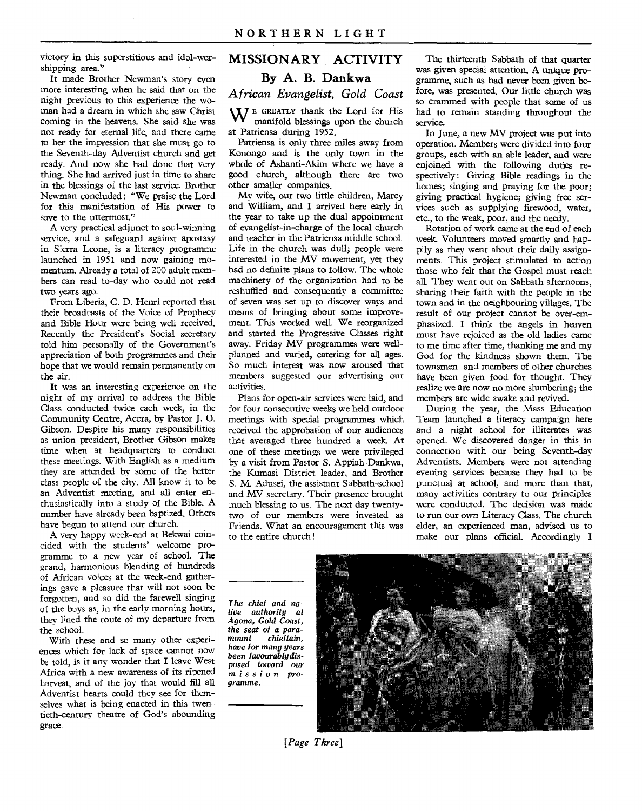victory in this superstitious and idol-worshipping area."

It made Brother Newman's story even more interesting when he said that on the night previous to this experience the woman had a dream in which she saw Christ coming in the heavens. She said she was not ready for eternal life, and there came to her the impression that she must go to the Seventh-day Adventist church and get ready. And now she had done that very thing. She had arrived just in time to share in the blessings of the last service. Brother Newman concluded: "We praise the Lord for this manifestation of His power to save to the uttermost."

A very practical adjunct to soul-winning service, and a safeguard against apostasy in Sierra Leone, is a literacy programme launched in 1951 and now gaining momentum. Already a total of 200 adult members can read to-day who could not read two years ago.

From Liberia, C. D. Henri reported that their broadcasts of the Voice of Prophecy and Bible Hour were being well received. Recently the President's Social secretary told him personally of the Government's appreciation of both programmes and their hope that we would remain permanently on the air.

It was an interesting experience on the night of my arrival to address the Bible Class conducted twice each week, in the Community Centre, Accra, by Pastor J. 0. Gibson. Despite his many responsibilities as union president, Brother Gibson makes time when at headquarters to conduct these meetings. With English as a medium they are attended by some of the better class people of the city. All know it to be an Adventist meeting, and all enter enthusiastically into a study of the Bible. A number have already been baptized. Others have begun to attend our church.

A very happy week-end at Bekwai coincided with the students' welcome programme to a new year of school. The grand, harmonious blending of hundreds of African voices at the week-end gatherings gave a pleasure that will not soon be forgotten, and so did the farewell singing of the boys as, in the early morning hours, they lined the route of my departure from the school.

With these and so many other experiences which for lack of space cannot now be told, is it any wonder that I leave West Africa with a new awareness of its ripened harvest, and of the joy that would fill all Adventist hearts could they see for themselves what is being enacted in this twentieth-century theatre of God's abounding grace.

#### **MISSIONARY ACTIVITY**

#### **By A. B. Dankwa**

*African Evangelist, Gold Coast* 

WE GREATLY thank the Lord for His manifold blessings upon the church at Patriensa during 1952.

Patriensa is only three miles away from Konongo and is the only town in the whole of Ashanti-Akim where we have a good church, although there are two other smaller companies.

My wife, our two little children, Marcy and William, and I arrived here early in the year to take up the dual appointment of evangelist-in-charge of the local church and teacher in the Patriensa middle school. Life in the church was dull; people were interested in the MV movement, yet they had no definite plans to follow. The whole machinery of the organization had to be reshuffled and consequently a committee of seven was set up to discover ways and means of bringing about some improvement. This worked well. We reorganized and started the Progressive Classes right away. Friday MV programmes were wellplanned and varied, catering for all ages. So much interest was now aroused that members suggested our advertising our activities.

Plans for open-air services were laid, and for four consecutive weeks we held outdoor meetings with special programmes which received the approbation of our audiences that averaged three hundred a week. At one of these meetings we were privileged by a visit from Pastor S. Appiah-Dankwa, the Kumasi District leader, and Brother S. M. Adusei, the assistant Sabbath-school and MV secretary. Their presence brought much blessing to us. The next day twentytwo of our members were invested as Friends. What an encouragement this was to the entire church !

The thirteenth Sabbath of that quarter was given special attention. A unique programme, such as had never been given before, was presented. Our little church vas so crammed with people that some of us had to remain standing throughout the service.

In June, a new MV project was put into operation. Members were divided into four groups, each with an able leader, and were enjoined with the following duties respectively: Giving Bible readings in the homes; singing and praying for the poor; giving practical hygiene; giving free services such as supplying firewood, water, etc., to the weak, poor, and the needy.

Rotation of work came at the end of each week. Volunteers moved smartly and happily as they went about their daily assignments. This project stimulated to action those who felt that the Gospel must reach all. They went out on Sabbath afternoons, sharing their faith with the people in the town and in the neighbouring villages. The result of our project cannot be over-emphasized. I think the angels in heaven must have rejoiced as the old ladies came to me time after time, thanking me and my God for the kindness shown them. The townsmen and members of other churches have been given food for thought. They realize we are now no more slumbering; the members are wide awake and revived.

During the year, the Mass Education Team launched a literacy campaign here and a night school for illiterates was opened. We discovered danger in this in connection with our being Seventh-day Adventists. Members were not attending evening services because they had to be punctual at school, and more than that, many activities contrary to our principles were conducted. The decision was made to run our own Literacy Class. The church elder, an experienced man, advised us to make our plans official. Accordingly I

*The chief and native authority at Agona, Gold Coast, the seat of a paramount chieftain, have for many years been favourablydisposed toward our mission programme.* 



*[Page Three]*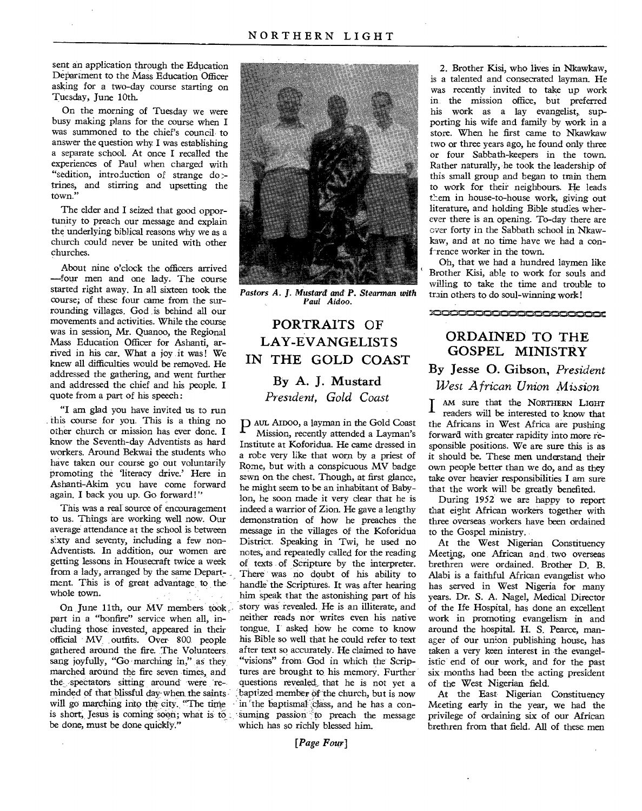sent an application through the Education Department to the Mass Education Officer asking for a two-day course starting on Tuesday, June 10th.

On the morning of Tuesday we were busy making plans for the course when I was summoned to the chief's council to answer the question why I was establishing a separate school. At once I recalled the experiences of Paul when charged with "sedition, introduction of strange do :trines, and stirring and upsetting the town."

The elder and I seized that good opportunity to preach our message and explain the underlying biblical reasons why we as a church could never be united with other churches.

About nine o'clock the officers arrived —four men and one lady. The course started right away. In all sixteen took the course; of these four came from the surrounding villages. God .is behind all our movements and activities. While the course was in session, Mr. Quanoo, the Regional Mass Education Officer for Ashanti, arrived in his car. What a joy it was! We knew all difficulties would be removed. He addressed the gathering, and went further and addressed the chief and his people. I quote from a part of his speech:

"I am glad you have invited us to run . this course for you. This is a thing no other church or mission has ever done. I know the Seventh-day Adventists as hard workers. Around Bekwai the students who have taken our course go out voluntarily promoting the 'literacy drive.' Here in Ashanti-Akim you have come forward again. I back you up. Go forward!"

This was a real source of encouragement to us. Things are working well now. Our average attendance at the school is between sixty and seventy, including a few non-Adventists. In addition, our women are getting lessons in Housecraft twice a week from a lady, arranged by the same Department. This is of great advantage to thewhole town.

On June 11th, our MV members took part in a "bonfire" service when all, including those, invested, appeared in their official MV outfits. Over 800 people gathered around the fire. The Volunteers sang joyfully, "Go marching in," as they marched around the fire seven times, and the spectators sitting around were reminded of that blissful day when the saintswill go marching into the city. "The time is short. Jesus is coming soon; what is to be done, must be done quickly."



*Pastors A. J. Mustard and P. Stearman with Paul Aidoo.* 

### PORTRAITS OF LAY-EVANGELIST S IN THE GOLD COAST By A. J. Mustard

*President, Gold Coast* 

P AUL AIDOO, a layman in the Gold Coast Mission, recently attended a Layman's Institute at Koforidua. He came dressed in a robe very like that worn by a priest of Rome, but with a conspicuous MV badge sewn on the chest. Though, at first glance, he might seem to be an inhabitant of Babylon, he soon made it very clear that he is indeed a warrior of Zion. He gave a lengthy demonstration of how he preaches the message in the villages of the Koforidua District. Speaking in Twi, he used no notes, and repeatedly called for the reading of texts of Scripture by the interpreter. There was no doubt of his ability to handle the Scriptures. It was after hearing him speak that the astonishing part of his story was revealed. He is an illiterate, and neither reads nor writes even his native tongue. I asked how he come to know his Bible so well that he could refer to text after text so accurately. He claimed to have "visions" from God in which the Scriptures are brought to his memory. Further questions revealed, that he is not yet a :baptized member Of-the church, but is now in the baptismal class, and he has a consuming passion to preach the message which has so richly blessed him.

2. Brother Kisi, who lives in Nkawkaw, is a talented and consecrated layman. He was recently invited to take up work in, the mission office, but preferred his work as a lay evangelist, supporting his wife and family by work in a store. When he first came to Nkawkaw two or three years ago, he found only three or four Sabbath-keepers in the town. Rather naturally, he took the leadership of this small group and began to train them to work for their neighbours. He leads them in house-to-house work, giving out literature, and holding Bible studies wherever there is an opening. To-day there are over forty in the Sabbath school in Nkawkaw, and at no time have we had a conf-rence worker in the town.

Oh, that we had a hundred laymen like Brother Kisi, able to work for souls and willing to take the time and trouble to train others to do soul-winning work!

*orN* d' ' nrni.

### ORDAINED TO THE GOSPEL MINISTRY

By Jesse 0. Gibson, *President West African Union Mibsion* 

I AM sure that the NORTHERN LIGHT<br>readers will be interested to know that readers will be interested to know that the Africans in West Africa are pushing forward with greater rapidity into more responsible positions. We are sure this is as it should be. These men understand their own people better than we do, and as they take over heavier responsibilities I am sure that the work will be greatly benefited.

During 1952 we are happy to report that eight African workers together with three overseas workers have been ordained to the Gospel ministry.

At the West Nigerian Constituency Meeting, one African and two overseas brethren were ordained. Brother D. B. Alabi is a faithful African evangelist who has served in West Nigeria for many years. Dr. S. A. Nagel, Medical Director of the Ife Hospital, has done an excellent work in promoting evangelism in and around the hospital. H. S. Pearce, manager of our union publishing house, has taken a very keen interest in the evangelistic end of our work, and for the past six months had been the acting president of the West Nigerian field.

At the East Nigerian Constituency Meeting early in the year, we had the privilege of ordaining six of our African brethren from that field. All of these. men

*[Page Four]*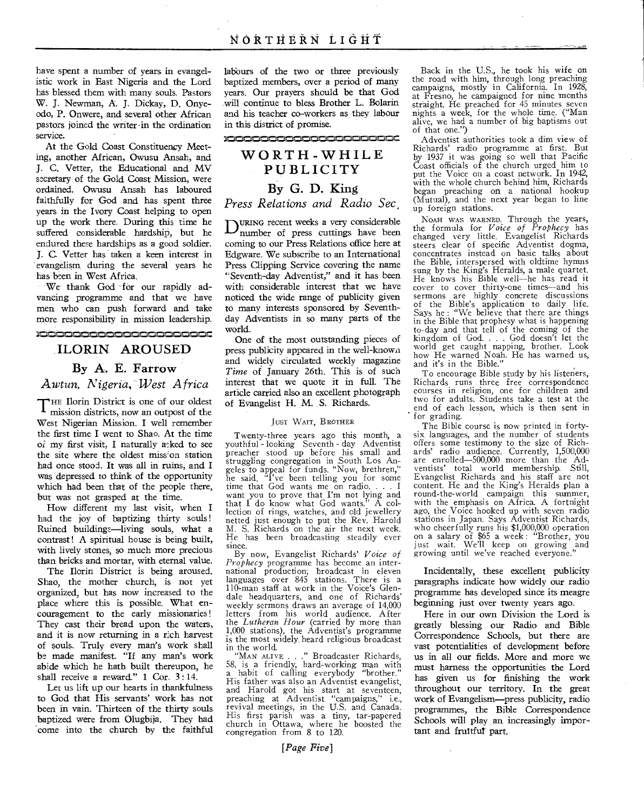have spent a number of years in evangelistic work in East Nigeria and the Lord has blessed them with many souls. Pastors W. J. Newman, A. J. Dickay, D. Onyeodo, P. Onwere, and several other African pastors joined the writer-in the ordination service.

At the Gold Coast Constituency Meeting, another African, Owusu Ansah, and J. C. Vetter, the Educational and MV secretary of the Gold Coast Mission, were ordained. Owusu Ansah has laboured faithfully for God and has spent three years in the Ivory Coast helping to open up the work there. During this time he suffered considerable hardship, but he endured these hardships as a good soldier. J. C. Vetter has taken a keen interest in evangelism, during the several years he has been in West Africa.

We thank God for our rapidly advancing programme and that we have men who can push forward and take more responsibility in mission leadership.

### ILORIN AROUSED By A. E. Farrow *Awtun, Nigeria, West Africa*

T HE Ilorin District is one of our oldest mission districts, now an outpost of the West Nigerian Mission. I well remember the first time I went to Shao. At the time of my first visit, I naturally asked to see the site where the oldest miss'on station had once stood. It was all in ruins, and I was depressed to think of the opportunity which had been that of the people there, but was not grasped at the time.

How different my last visit, when I had the joy of baptizing thirty souls ! Ruined buildings—living souls, what a contrast! A spiritual house is being built, with lively stones, so much more precious than bricks and mortar, with eternal value.

The Ilorin District is being aroused. Shao, the mother church, is not yet organized, but has now increased to the place where this is possible. What encouragement to the early missionaries ! They cast their bread upon the waters, and it is now returning in a rich harvest of souls. Truly every man's work shall be made manifest. "If any man's work abide which he bath built thereupon, he shall receive a reward." 1 Cor. 3:14.

Let us lift up our hearts in thankfulness to God that His servants' work has not been in vain. Thirteen of the thirty souls baptized were from Olugbija. They had come into the church by the faithful labburs of the two or three previously baptized members, over a period of many years. Our prayers should be that God will continue to bless Brother L. Bolarin and his teacher co-workers as they labour in this district of promise.

#### 

### WORTH-WHILE PUBLICITY By G. D. King *Press Relations and Radio Sec.*

 $D_{\text{number of press cuttings have been}}$ coming to our Press Relations office here at Edgware. We subscribe to an International Press Clipping Service covering the name "Seventh-day Adventist," and it has been with considerable interest that we have noticed the wide range of publicity given to many interests sponsored by Seventhday Adventists in so many parts of the world.

One of the most outstanding pieces of press publicity appeared in the well-known and widely circulated weekly magazine *Time* of January 26th. This is of such interest that we quote it in full. The article carried also an excellent photograph of Evangelist H. M. S. Richards.

#### JUST WAIT, BROTHER

Twenty-three years ago this month, a youthful - looking Seventh - day Adventist preacher stood up before his small and struggling congregation in South Los Angeles to appeal for funds. "Now, brethren," he said, "I've been telling you for some time that God wants me on radio. . . . I want you to prove that I'm not lying and that I do know what God wants." A colthat  $I$  do know what God wants."  $\overline{A}$  collection of rings, watches, and old jewellery netted just enough to put the Rev. Harold M. S. Richards on the air the next week. He has been broadcasting steadily ever since.

By now, Evangelist Richards' *Voice of Prophecy* programme has become an international production, broadcast in eleven languages over 845 stations. There is a 110-man staff at work in the Voice's Glendale headquarters, and one of Richards' weekly sermons draws an average of 14,000 letters from his world audience. After the *Lutheran Hour* (carried by more than 1,000 stations), the Adventist's programme is the most widely heard religious broadcast in the world.

"MAN ALIVE . . ." Broadcaster Richards, 58, is a friendly, hard-working man with a habit of calling everybody "brother." His father was also an Adventist evangelist, and Harold got his start at seventeen, preaching at Adventist "campaigns," i.e., revival meetings, in the U.S. and Canada. His first parish was a tiny, tar-papered church in Ottawa, where he boosted the congregation from 8 to 120.

Back in the U.S., he took his wife on the road with him, through long preaching campaigns, mostly in California. In 1928, at Fresno, he campaigned for nine months straight. He preached for 45 minutes seven nights a week, for the whole time. ("Man alive, we had a number of big baptisms out of that one.")

Adventist authorities took a dim view of Richards' radio programme at first. But by 1937 it was going so well that Pacific Coast officials of the church urged him to put the Voice on a coast network. In 1942, with the whole church behind him, Richards began preaching on a national hookup (Mutual), and the next year began to line up foreign stations.

NOAH WAS WARNED. Through the years, the formula for *Voice of Prophecy* has changed very little. Evangelist Richards steers clear of specific Adventist dogma, concentrates instead on basic talks about the Bible, interspersed with oldtime hymns sung by the King's Heralds, a male quartet. He knows his Bible well—he has read it cover to cover thirty-one times—and his sermons are highly concrete discussions of the Bible's application to daily life. Says he : "We believe that there are things in the Bible that prophesy what is happening to-day and that tell of the coming of the kingdom of God. . . . God doesn't let the world get caught napping, brother. Look how He warned Noah. He has warned us, and it's in the Bible.'

To encourage Bible study by his listeners, Richards runs three free correspondence courses in religion, one for children and two for adults. Students take a test at the end of each lesson, which is then sent in for grading.

The Bible course is now printed in fortysix languages, and the number of students offers some testimony to the size of Richards' radio audience. Currently, 1,500,000 are enrolled-500,000 more than the Adventists' total world membership. Still, Evangelist Richards and his staff are not content. He and the King's Heralds plan a round-the-world campaign this summer, with the emphasis on Africa. A fortnight ago, the Voice hooked up with seven radio stations in Japan. Says Adventist Richards, who cheerfully runs his \$1,000,000 operation on a salary of \$65 a week : "Brother, you just wait. We'll keep on growing and growing until we've reached everyone."

Incidentally, these excellent publicity paragraphs indicate how widely our radio programme has developed since its meagre beginning just over twenty years ago.

Here in our own Division the Lord is greatly blessing our Radio and Bible Correspondence Schools, but there are vast potentialities of development before us in all our fields. More and more we must harness the opportunities the Lord has given us for finishing the work throughout our territory. In the great work of Evangelism—press publicity, radio programmes, the Bible Correspondence Schools will play an increasingly important and fruitful part.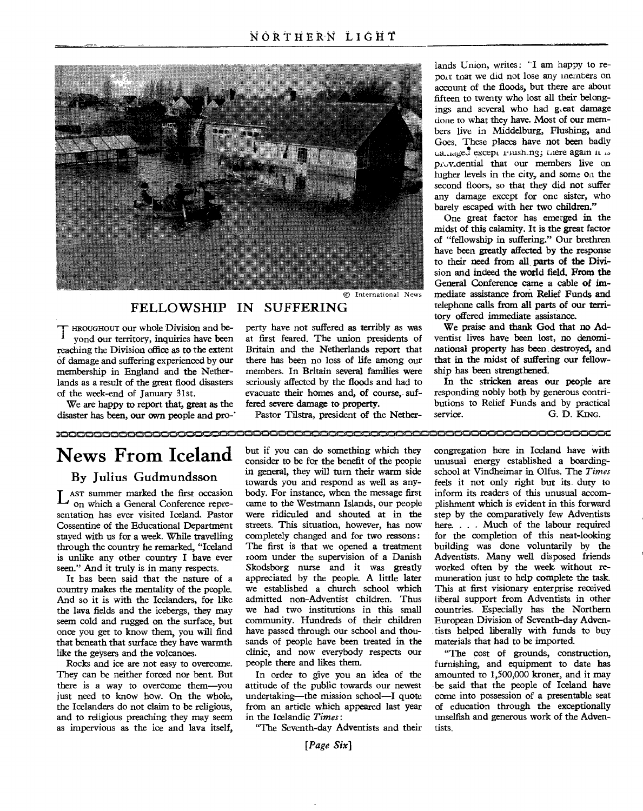

#### FELLOWSHIP IN SUFFERING

lands as a result of the great flood disasters

We are happy to report that, great as the fered severe damage to property. butions to Relief Funds and by practic<br>Saster has been, our own people and pro-<br>
Pastor Tilstra, president of the Nether- service. G. D. KING. disaster has been, our own people and pro-'

at first feared. The union presidents of ventist lives have been lost, no denomi-<br>Britain and the Netherlands report that national property has been destroyed, and reaching the Division office as to the extent Britain and the Netherlands report that national property has been, destroyed, and<br>of damage and suffering experienced by our there has been no loss of life among our that in t of damage and suffering experienced by our there has been no loss of life among our that in the midst of suffering membership in England and the Nether- members. In Britain several families were ship has been strengthened. membership in England and the Nether- members. In Britain several families were ship has been strengthened.<br>lands as a result of the great flood disasters seriously affected by the floods and had to In the stricken areas o

lands Union, writes: "I am happy to retnat we did not lose any members on account of the floods, but there are about fifteen to twenty who lost all their belongings and several who had g.eat damage done to what they have. Most of our members live in Middelburg, Flushing, and Goes. These places have not been badly  $a_{\text{angle}}$ except rushing; mere again it is pcov,dential that our members live on higher levels in the city, and some on the second floors, so that they did not suffer any damage except for one sister, who barely escaped with her two children."

One great factor has emerged in the midst of this calamity. It is the great factor of "fellowship in suffering." Our brethren have been greatly affected by the response to their need from all.parts of the Division and indeed the world field. From the General Conference came a cable of immediate assistance from Relief Funds and telephone calls from all parts of our territory offered immediate assistance.<br>We praise and thank God that no Ad-

HROUGHOUT our whole Division and be- perty have not suffered as terribly as was We praise and thank God that no Ad-<br>yond our territory, inquiries have been at first feared. The union presidents of ventist lives have been l

of the week-end of January 31st. evacuate their homes and, of course, suf- responding nobly both by generous contri-

<u> 10000000000000000000</u>

### **News From Iceland**

country makes the mentality of the people. we established a church school which And so it is with the Icelanders, for like admitted non-Adventist children. Thus that beneath that surface they have warmth sands of people have been treated in the like the gevers and the volcanoes.

They can be neither forced nor bent. But In order to give you an idea of the there is a way to overcome them—vou attitude of the public towards our newest as impervious as the ice and lava itself, "The Seventh-day Adventists and their tists.

consider to be for the benefit of the people unusual energy established a boarding-<br>in general, they will turn their warm side school at Vindheimar in Olfus. The Times By Julius Gudmundsson in general, they will turn their warm side in Allian Structure in the *Times and*  $T_0$  and  $T_0$  and  $T_0$  and  $T_0$  are *Times and*  $T_0$  and  $T_0$  are *Times and*  $T_0$  and  $T_0$  are *Times and*  $T$ towards you and respond as well as any-<br>body. For instance, when the message first inform its readers of this unusual accom-L AST summer marked the first occasion body. For instance, when the message first inform its readers of this unusual accom-<br>On which a General Conference repre- came to the Westmann Islands, our people plishment which is e  $\Box$  on which a General Conference repre- came to the Westmann Islands, our people plishment which is evident in this forward sentation has ever visited Iceland. Pastor were ridiculed and shouted at in the step by the comp were ridiculed and shouted at in the streets. This situation, however, has now Cossentine of the Educational Department streets. This situation, however, has now here. . . . Much of the labour required stayed with us for a week. While travelling completely changed and for two reasons: for the completion of this neat-looking through the country he remarked, "Iceland The first is that we opened a treatment building was done voluntarily by the is unlike any other country I have ever room under the supervision of a Danish Adventists. Many well di room under the supervision of a Danish Adventists. Many well disposed friends Skodsborg nurse and it was greatly worked often by the week without reseen." And it truly is in many respects. Skodsborg nurse and it was greatly worked often by the week without re-<br>It has been said that the nature of a appreciated by the people. A little later muneration just to help compl It has been said that the nature of a appreciated by the people. A little later muneration just to help complete the task. And so it is with the Icelanders, for like admitted non-Adventist children. Thus liberal support from Adventists in other<br>the lava fields and the icebergs, they may we had two institutions in this small countries. Especial the lava fields and the icebergs, they may we had two institutions in this small countries. Especially has the Northern<br>seem cold and rugged on the surface but community. Hundreds of their children European Division of Sev seem cold and rugged on the surface, but community. Hundreds of their children European Division of Seventh-day Adven-<br>once you get to know them you will find have passed through our school and thou- tists helped liberally once you get to know them, you will find have passed through our school and thou- tists helped liberally with funds that beneath that surface they have warmth sands of people have been treated in the materials that had to like the geysers and the volcanoes. clinic, and now everybody respects our "The cost of grounds, construction,<br>Rocks and ice are not easy to overcome. people there and likes them. furnishing, and equipment to date has

there is a way to overcome them—you attitude of the public towards our newest be said that the people of Iceland have<br>just need to know how. On the whole, undertaking—the mission school—I quote come into possession of a pr undertaking—the mission school—I quote the Icelanders do not claim to be religious, from an article which appeared last year of education through the exceptionally<br>and to religious preaching they may seem in the Icelandic Times: unselfish and generous work of t

*[Page Six]* 

but if you can do something which they congregation here in Iceland have with consider to be for the benefit of the people unusual energy established a boarding-

Rocks and ice are not easy to overcome. people there and likes them. furnishing, and equipment to date has<br>They can be neither forced nor bent. But In order to give you an idea of the amounted to 1,500,000 kroner, and it m the Icelandic *Times*: **unselfish and generous work of the Adven-**<br> **The Seventh-day Adventists and their** tists.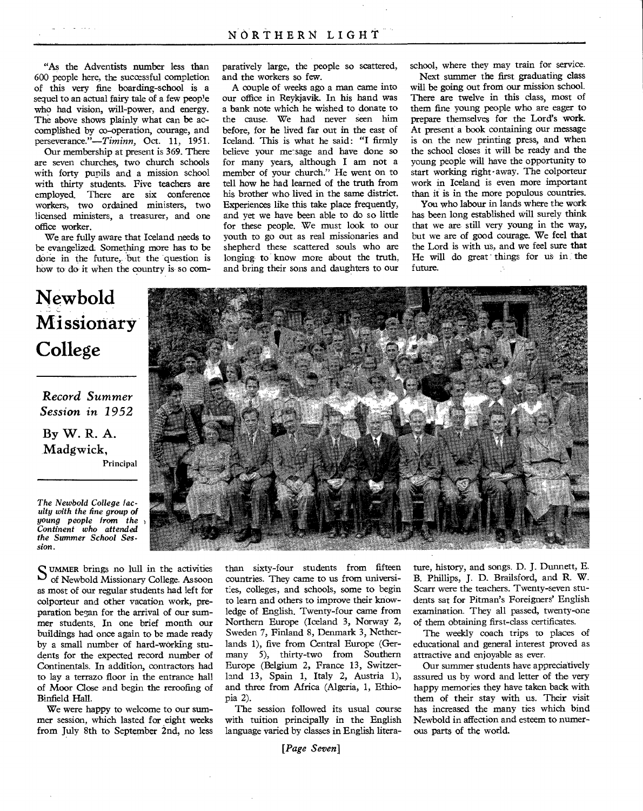"As the Adventists number less than 600 people here, the successful completion of this very fine boarding-school is a sequel to an actual fairy tale of a few peop!e who had vision, will-power, and energy. The above shows plainly what can be accomplished by co-operation, courage, and perseverance."-Timinn, Oct. 11, 1951.

Our membership at present is 369. There are seven churches, two church schools with forty pupils and a mission school with thirty students. Five teachers are employed. There are six conference workers, two ordained ministers, two licensed ministers, a treasurer, and one office worker.

We are fully aware that Iceland needs to be evangelize& Something more has to be done in the future, but the question is how to do it when the country is so com-

## **Newbold Missionary College**

*Record Summer Session in 1952*  By W. R. A. Madgwick,

*The Newbold College faculty with the fine* group *of young people from the Continent who attended the Summer School Session.* 

 $\sum_{\text{of Normal A Microconcar Call} \atop \text{of N-} }$ of Newbold Missionary College. As soon as most of our regular students had left for colporteur and other vacation work, preparation began for the arrival of our summer students. In one brief month our buildings had once again to be made ready by a small number of hard-working students for the expected record number of Continentals. In addition, contractors had to lay a terrazo floor in the entrance hall of Moor Close and begin the reroofing of Binfield Hall.

Principal

We were happy to welcome to our summer session, which lasted for eight weeks from July 8th to September 2nd, no less paratively large, the people so scattered, and the workers so few.

A couple of weeks ago a man came into our office in Reykjavik. In his hand was a bank note which he wished to donate to the cause. We had never seen him before, for he lived far out in the east of Iceland. This is what he said: "I firmly believe your me-sage and have done so for many years, although I am not a member of your church." He went on to tell how he had learned of the truth from his brother who lived in the same district. Experiences like this take place frequently, and yet we have been able to do so little for these people. We must look to our youth to go out as real missionaries and shepherd these scattered souls who are longing to know more about the truth, and bring their sons and daughters to our

school, where they may train for service.

Next summer the first graduating class will be going out from our mission school. There are twelve in this class, most of them fine young people who are eager to prepare themselves for the Lord's work. At present a book containing our message is on the new printing press, and when the school closes it will be ready and the young people will have the opportunity to start working right-away. The colporteur work in Iceland is even more important than it is in the more populous countries.

You who labour in lands where the work has been long established will surely think that we are still very young in the way, but we are of good courage. We feel that the Lord is with us, and we feel sure that He will do great things for us in the future.



than sixty-four students from fifteen countries. They came to us from universities, colleges, and schools, some to begin to learn and others to improve their knowledge of English. Twenty-four came from Northern Europe (Iceland 3, Norway 2, Sweden 7, Finland 8, Denmark 3, Netherlands 1), five from Central Europe (Germany 5), thirty-two from Southern Europe (Belgium 2, France 13, Switzerland 13, Spain 1, Italy 2, Austria 1), and three from Africa (Algeria, 1, Ethiopia 2).

The session followed its usual course with tuition principally in the English language varied by classes in English litera-

*[Page Seven]* 

ture, history, and songs. D. J. Dunnett, E. B. Phillips, J. D. Brailsford, and **R.** W. Scarr were the teachers. Twenty-seven students sat for Pitman's Foreigners' English examination. They all passed, twenty-one of them obtaining first-class certificates.

The weekly coach trips to places of educational and general interest proved as attractive and enjoyable as ever.

Our summer students have appreciatively assured us by word and letter of the very happy memories they have taken back with them of their stay with us. Their visit has increased the many ties which bind Newbold in affection and esteem to numerous parts of the world.